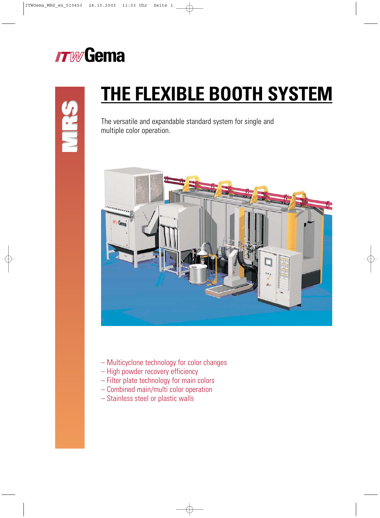

# **MRS**

# **THE FLEXIBLE BOOTH SYSTEM**

The versatile and expandable standard system for single and multiple color operation.



- Multicyclone technology for color changes
- High powder recovery efficiency
- Filter plate technology for main colors
- Combined main/multi color operation
- Stainless steel or plastic walls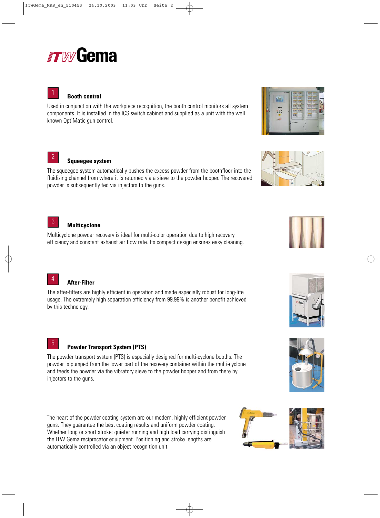# *rrw* Gema

# **Booth control**

Used in conjunction with the workpiece recognition, the booth control monitors all system components. It is installed in the ICS switch cabinet and supplied as a unit with the well known OptiMatic gun control.

# **Squeegee system**

2

The squeegee system automatically pushes the excess powder from the boothfloor into the fluidizing channel from where it is returned via a sieve to the powder hopper. The recovered powder is subsequently fed via injectors to the guns.

### **Multicyclone** 3

Multicyclone powder recovery is ideal for multi-color operation due to high recovery efficiency and constant exhaust air flow rate. Its compact design ensures easy cleaning.

**After-Filter** 4

The after-filters are highly efficient in operation and made especially robust for long-life usage. The extremely high separation efficiency from 99.99% is another benefit achieved by this technology.

# **Powder Transport System (PTS)**

The powder transport system (PTS) is especially designed for multi-cyclone booths. The powder is pumped from the lower part of the recovery container within the multi-cyclone and feeds the powder via the vibratory sieve to the powder hopper and from there by injectors to the guns.

The heart of the powder coating system are our modern, highly efficient powder guns. They guarantee the best coating results and uniform powder coating. Whether long or short stroke: quieter running and high load carrying distinguish the ITW Gema reciprocator equipment. Positioning and stroke lengths are automatically controlled via an object recognition unit.



**bill** ÷











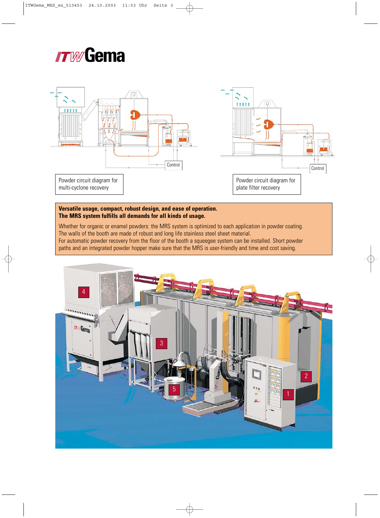# **ITWGema**



# **Versatile usage, compact, robust design, and ease of operation. The MRS system fulfills all demands for all kinds of usage.**

Whether for organic or enamel powders: the MRS system is optimized to each application in powder coating. The walls of the booth are made of robust and long life stainless steel sheet material. For automatic powder recovery from the floor of the booth a squeegee system can be installed. Short powder paths and an integrated powder hopper make sure that the MRS is user-friendly and time and cost saving.